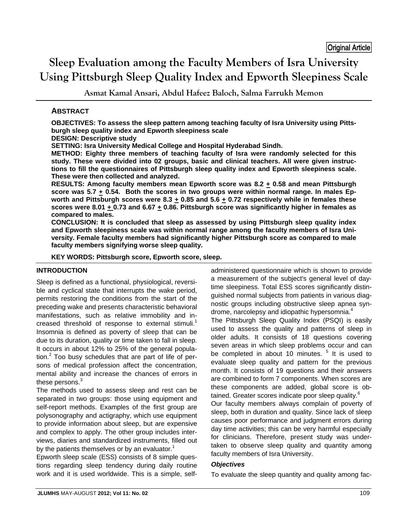# **Sleep Evaluation among the Faculty Members of Isra University Using Pittsburgh Sleep Quality Index and Epworth Sleepiness Scale**

**Asmat Kamal Ansari, Abdul Hafeez Baloch, Salma Farrukh Memon** 

## **ABSTRACT**

**OBJECTIVES: To assess the sleep pattern among teaching faculty of Isra University using Pittsburgh sleep quality index and Epworth sleepiness scale** 

## **DESIGN: Descriptive study**

**SETTING: Isra University Medical College and Hospital Hyderabad Sindh.** 

**METHOD: Eighty three members of teaching faculty of Isra were randomly selected for this study. These were divided into 02 groups, basic and clinical teachers. All were given instructions to fill the questionnaires of Pittsburgh sleep quality index and Epworth sleepiness scale. These were then collected and analyzed.** 

**RESULTS: Among faculty members mean Epworth score was 8.2**  $\pm$  **0.58 and mean Pittsburgh score was 5.7 + 0.54. Both the scores in two groups were within normal range. In males Ep**worth and Pittsburgh scores were 8.3  $\pm$  0.85 and 5.6  $\pm$  0.72 respectively while in females these **scores were 8.01 + 0.73 and 6.67 + 0.86. Pittsburgh score was significantly higher in females as compared to males.** 

**CONCLUSION: It is concluded that sleep as assessed by using Pittsburgh sleep quality index and Epworth sleepiness scale was within normal range among the faculty members of Isra University. Female faculty members had significantly higher Pittsburgh score as compared to male faculty members signifying worse sleep quality.** 

**KEY WORDS: Pittsburgh score, Epworth score, sleep.**

## **INTRODUCTION**

Sleep is defined as a functional, physiological, reversible and cyclical state that interrupts the wake period, permits restoring the conditions from the start of the preceding wake and presents characteristic behavioral manifestations, such as relative immobility and increased threshold of response to external stimuli.<sup>1</sup> Insomnia is defined as poverty of sleep that can be due to its duration, quality or time taken to fall in sleep. It occurs in about 12% to 25% of the general population. $2$  Too busy schedules that are part of life of persons of medical profession affect the concentration, mental ability and increase the chances of errors in these persons.<sup>3</sup>

The methods used to assess sleep and rest can be separated in two groups: those using equipment and self-report methods. Examples of the first group are polysonography and actigraphy, which use equipment to provide information about sleep, but are expensive and complex to apply. The other group includes interviews, diaries and standardized instruments, filled out by the patients themselves or by an evaluator.<sup>1</sup>

Epworth sleep scale (ESS) consists of 8 simple questions regarding sleep tendency during daily routine work and it is used worldwide. This is a simple, selfadministered questionnaire which is shown to provide a measurement of the subject's general level of daytime sleepiness. Total ESS scores significantly distinguished normal subjects from patients in various diagnostic groups including obstructive sleep apnea syndrome, narcolepsy and idiopathic hypersomnia.<sup>4</sup>

The Pittsburgh Sleep Quality Index (PSQI) is easily used to assess the quality and patterns of sleep in older adults. It consists of 18 questions covering seven areas in which sleep problems occur and can be completed in about 10 minutes. <sup>5</sup> It is used to evaluate sleep quality and pattern for the previous month. It consists of 19 questions and their answers are combined to form 7 components. When scores are these components are added, global score is obtained. Greater scores indicate poor sleep quality.<sup>6</sup>

Our faculty members always complain of poverty of sleep, both in duration and quality. Since lack of sleep causes poor performance and judgment errors during day time activities; this can be very harmful especially for clinicians. Therefore, present study was undertaken to observe sleep quality and quantity among faculty members of Isra University.

## *Objectives*

To evaluate the sleep quantity and quality among fac-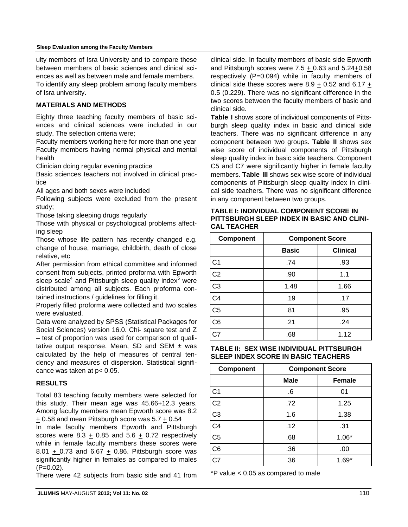ulty members of Isra University and to compare these between members of basic sciences and clinical sciences as well as between male and female members. To identify any sleep problem among faculty members of Isra university.

## **MATERIALS AND METHODS**

Eighty three teaching faculty members of basic sciences and clinical sciences were included in our study. The selection criteria were;

Faculty members working here for more than one year Faculty members having normal physical and mental health

Clinician doing regular evening practice

Basic sciences teachers not involved in clinical practice

All ages and both sexes were included

Following subjects were excluded from the present study;

Those taking sleeping drugs regularly

Those with physical or psychological problems affecting sleep

Those whose life pattern has recently changed e.g. change of house, marriage, childbirth, death of close relative, etc

After permission from ethical committee and informed consent from subjects, printed proforma with Epworth sleep scale<sup>4</sup> and Pittsburgh sleep quality index<sup>5</sup> were distributed among all subjects. Each proforma contained instructions / guidelines for filling it.

Properly filled proforma were collected and two scales were evaluated.

Data were analyzed by SPSS (Statistical Packages for Social Sciences) version 16.0. Chi- square test and Z – test of proportion was used for comparison of qualitative output response. Mean, SD and SEM  $\pm$  was calculated by the help of measures of central tendency and measures of dispersion. Statistical significance was taken at p< 0.05.

## **RESULTS**

Total 83 teaching faculty members were selected for this study. Their mean age was 45.66+12.3 years. Among faculty members mean Epworth score was 8.2 + 0.58 and mean Pittsburgh score was 5.7 + 0.54

In male faculty members Epworth and Pittsburgh scores were  $8.3 + 0.85$  and  $5.6 + 0.72$  respectively while in female faculty members these scores were 8.01 + 0.73 and 6.67 + 0.86. Pittsburgh score was significantly higher in females as compared to males  $(P=0.02)$ .

There were 42 subjects from basic side and 41 from

clinical side. In faculty members of basic side Epworth and Pittsburgh scores were 7.5 + 0.63 and 5.24+0.58 respectively (P=0.094) while in faculty members of clinical side these scores were  $8.9 + 0.52$  and  $6.17 +$ 0.5 (0.229). There was no significant difference in the two scores between the faculty members of basic and clinical side.

**Table I** shows score of individual components of Pittsburgh sleep quality index in basic and clinical side teachers. There was no significant difference in any component between two groups. **Table II** shows sex wise score of individual components of Pittsburgh sleep quality index in basic side teachers. Component C5 and C7 were significantly higher in female faculty members. **Table III** shows sex wise score of individual components of Pittsburgh sleep quality index in clinical side teachers. There was no significant difference in any component between two groups.

| TABLE I: INDIVIDUAL COMPONENT SCORE IN     |
|--------------------------------------------|
| PITTSBURGH SLEEP INDEX IN BASIC AND CLINI- |
| <b>CAL TEACHER</b>                         |

| <b>Component</b> | <b>Component Score</b> |                 |  |
|------------------|------------------------|-----------------|--|
|                  | <b>Basic</b>           | <b>Clinical</b> |  |
| C <sub>1</sub>   | .74                    | .93             |  |
| C <sub>2</sub>   | .90                    | 1.1             |  |
| C <sub>3</sub>   | 1.48                   | 1.66            |  |
| C <sub>4</sub>   | .19                    | .17             |  |
| C <sub>5</sub>   | .81                    | .95             |  |
| C <sub>6</sub>   | .21                    | .24             |  |
| C <sub>7</sub>   | .68                    | 1.12            |  |

**TABLE II: SEX WISE INDIVIDUAL PITTSBURGH SLEEP INDEX SCORE IN BASIC TEACHERS** 

| Component      | <b>Component Score</b> |               |
|----------------|------------------------|---------------|
|                | <b>Male</b>            | <b>Female</b> |
| C <sub>1</sub> | .6                     | 01            |
| C <sub>2</sub> | .72                    | 1.25          |
| C <sub>3</sub> | 1.6                    | 1.38          |
| C <sub>4</sub> | .12                    | .31           |
| C <sub>5</sub> | .68                    | $1.06*$       |
| C <sub>6</sub> | .36                    | .00           |
| C <sub>7</sub> | .36                    | $1.69*$       |

\*P value < 0.05 as compared to male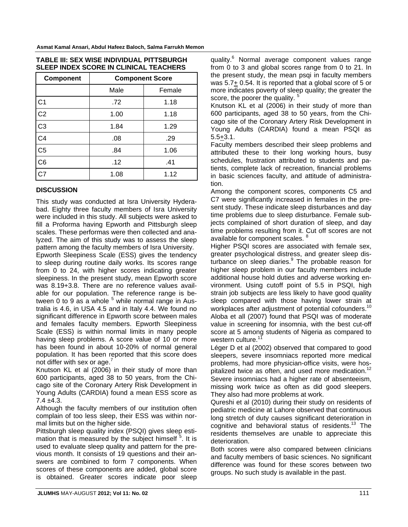| <b>Component</b> | <b>Component Score</b> |        |  |
|------------------|------------------------|--------|--|
|                  | Male                   | Female |  |
| C <sub>1</sub>   | .72                    | 1.18   |  |
| C <sub>2</sub>   | 1.00                   | 1.18   |  |
| C <sub>3</sub>   | 1.84                   | 1.29   |  |
| C <sub>4</sub>   | .08                    | .29    |  |
| C <sub>5</sub>   | .84                    | 1.06   |  |
| C <sub>6</sub>   | .12                    | .41    |  |
| C7               | 1.08                   | 1.12   |  |

#### **TABLE III: SEX WISE INDIVIDUAL PITTSBURGH SLEEP INDEX SCORE IN CLINICAL TEACHERS**

# **DISCUSSION**

This study was conducted at Isra University Hyderabad. Eighty three faculty members of Isra University were included in this study. All subjects were asked to fill a Proforma having Epworth and Pittsburgh sleep scales. These performas were then collected and analyzed. The aim of this study was to assess the sleep pattern among the faculty members of Isra University.

Epworth Sleepiness Scale (ESS) gives the tendency to sleep during routine daily works. Its scores range from 0 to 24, with higher scores indicating greater sleepiness. In the present study, mean Epworth score was 8.19+3.8. There are no reference values available for our population. The reference range is between 0 to 9 as a whole  $5$  while normal range in Australia is 4.6, in USA 4.5 and in Italy 4.4. We found no significant difference in Epworth score between males and females faculty members. Epworth Sleepiness Scale (ESS) is within normal limits in many people having sleep problems. A score value of 10 or more has been found in about 10-20% of normal general population. It has been reported that this score does not differ with sex or age.<sup>7</sup>

Knutson KL et al (2006) in their study of more than 600 participants, aged 38 to 50 years, from the Chicago site of the Coronary Artery Risk Development in Young Adults (CARDIA) found a mean ESS score as  $7.4 \pm 4.3$ .

Although the faculty members of our institution often complain of too less sleep, their ESS was within normal limits but on the higher side.

Pittsburgh sleep quality index (PSQI) gives sleep estimation that is measured by the subject himself <sup>5</sup>. It is used to evaluate sleep quality and pattern for the previous month. It consists of 19 questions and their answers are combined to form 7 components. When scores of these components are added, global score is obtained. Greater scores indicate poor sleep

quality.<sup>6</sup> Normal average component values range from 0 to 3 and global scores range from 0 to 21. In the present study, the mean psqi in faculty members was 5.7+ 0.54. It is reported that a global score of 5 or more indicates poverty of sleep quality; the greater the score, the poorer the quality.

Knutson KL et al (2006) in their study of more than 600 participants, aged 38 to 50 years, from the Chicago site of the Coronary Artery Risk Development in Young Adults (CARDIA) found a mean PSQI as 5.5+3.1.

Faculty members described their sleep problems and attributed these to their long working hours, busy schedules, frustration attributed to students and patients, complete lack of recreation, financial problems in basic sciences faculty, and attitude of administration.

Among the component scores, components C5 and C7 were significantly increased in females in the present study. These indicate sleep disturbances and day time problems due to sleep disturbance. Female subjects complained of short duration of sleep, and day time problems resulting from it. Cut off scores are not available for component scales. <sup>8</sup>

Higher PSQI scores are associated with female sex, greater psychological distress, and greater sleep disturbance on sleep diaries.<sup>9</sup> The probable reason for higher sleep problem in our faculty members include additional house hold duties and adverse working environment. Using cutoff point of 5.5 in PSQI, high strain job subjects are less likely to have good quality sleep compared with those having lower strain at workplaces after adjustment of potential cofounders.<sup>10</sup> Aloba et all (2007) found that PSQI was of moderate value in screening for insomnia, with the best cut-off score at 5 among students of Nigeria as compared to western culture. $1$ 

Léger D et al (2002) observed that compared to good sleepers, severe insomniacs reported more medical problems, had more physician-office visits, were hospitalized twice as often, and used more medication.<sup>12</sup> Severe insomniacs had a higher rate of absenteeism, missing work twice as often as did good sleepers. They also had more problems at work.

Qureshi et al (2010) during their study on residents of pediatric medicine at Lahore observed that continuous long stretch of duty causes significant deterioration in cognitive and behavioral status of residents.<sup>13</sup> The residents themselves are unable to appreciate this deterioration.

Both scores were also compared between clinicians and faculty members of basic sciences. No significant difference was found for these scores between two groups. No such study is available in the past.